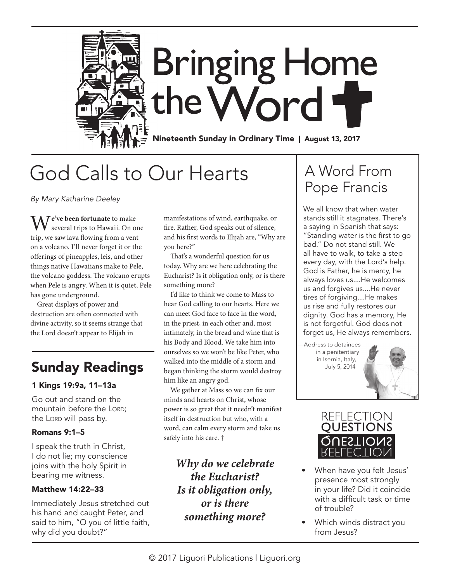

# God Calls to Our Hearts

*By Mary Katharine Deeley*

**Te've been fortunate** to make several trips to Hawaii. On one trip, we saw lava flowing from a vent on a volcano. I'll never forget it or the offerings of pineapples, leis, and other things native Hawaiians make to Pele, the volcano goddess. The volcano erupts when Pele is angry. When it is quiet, Pele has gone underground.

Great displays of power and destruction are often connected with divine activity, so it seems strange that the Lord doesn't appear to Elijah in

### Sunday Readings

### 1 Kings 19:9a, 11–13a

Go out and stand on the mountain before the LORD; the Lord will pass by.

### Romans 9:1–5

I speak the truth in Christ, I do not lie; my conscience joins with the holy Spirit in bearing me witness.

### Matthew 14:22–33

Immediately Jesus stretched out his hand and caught Peter, and said to him, "O you of little faith, why did you doubt?"

manifestations of wind, earthquake, or fire. Rather, God speaks out of silence, and his first words to Elijah are, "Why are you here?"

That's a wonderful question for us today. Why are we here celebrating the Eucharist? Is it obligation only, or is there something more?

I'd like to think we come to Mass to hear God calling to our hearts. Here we can meet God face to face in the word, in the priest, in each other and, most intimately, in the bread and wine that is his Body and Blood. We take him into ourselves so we won't be like Peter, who walked into the middle of a storm and began thinking the storm would destroy him like an angry god.

We gather at Mass so we can fix our minds and hearts on Christ, whose power is so great that it needn't manifest itself in destruction but who, with a word, can calm every storm and take us safely into his care. †

> *Why do we celebrate the Eucharist? Is it obligation only, or is there something more?*

## A Word From Pope Francis

We all know that when water stands still it stagnates. There's a saying in Spanish that says: "Standing water is the first to go bad." Do not stand still. We all have to walk, to take a step every day, with the Lord's help. God is Father, he is mercy, he always loves us....He welcomes us and forgives us....He never tires of forgiving....He makes us rise and fully restores our dignity. God has a memory, He is not forgetful. God does not forget us, He always remembers.

—Address to detainees in a penitentiary in Isernia, Italy, July 5, 2014



- When have you felt Jesus' presence most strongly in your life? Did it coincide with a difficult task or time of trouble?
- Which winds distract you from Jesus?